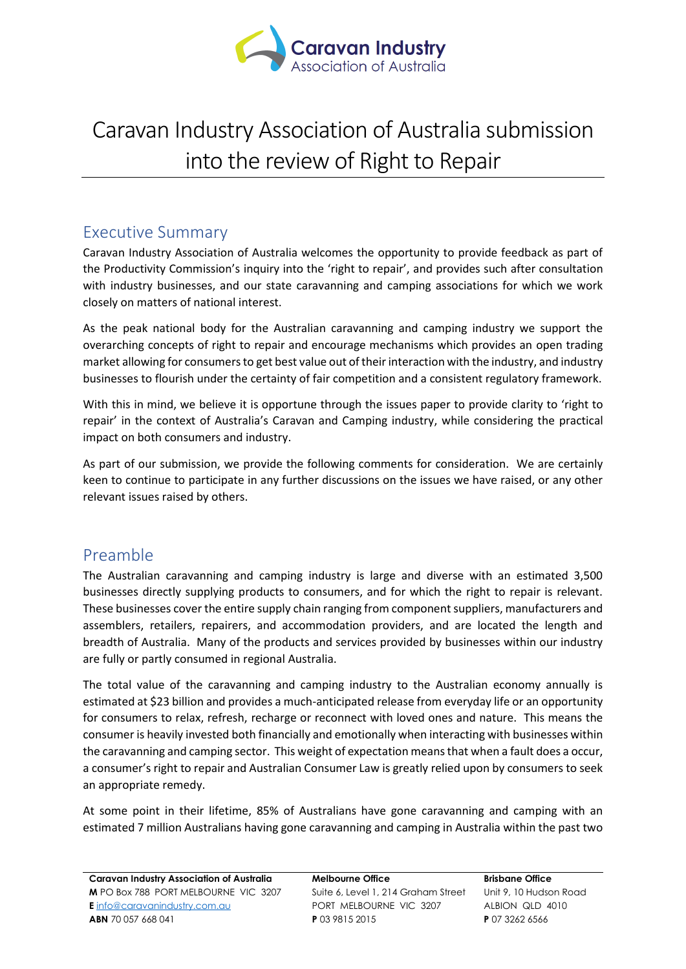

# Caravan Industry Association of Australia submission into the review of Right to Repair

### Executive Summary

Caravan Industry Association of Australia welcomes the opportunity to provide feedback as part of the Productivity Commission's inquiry into the 'right to repair', and provides such after consultation with industry businesses, and our state caravanning and camping associations for which we work closely on matters of national interest.

As the peak national body for the Australian caravanning and camping industry we support the overarching concepts of right to repair and encourage mechanisms which provides an open trading market allowing for consumers to get best value out of their interaction with the industry, and industry businesses to flourish under the certainty of fair competition and a consistent regulatory framework.

With this in mind, we believe it is opportune through the issues paper to provide clarity to 'right to repair' in the context of Australia's Caravan and Camping industry, while considering the practical impact on both consumers and industry.

As part of our submission, we provide the following comments for consideration. We are certainly keen to continue to participate in any further discussions on the issues we have raised, or any other relevant issues raised by others.

## Preamble

The Australian caravanning and camping industry is large and diverse with an estimated 3,500 businesses directly supplying products to consumers, and for which the right to repair is relevant. These businesses cover the entire supply chain ranging from component suppliers, manufacturers and assemblers, retailers, repairers, and accommodation providers, and are located the length and breadth of Australia. Many of the products and services provided by businesses within our industry are fully or partly consumed in regional Australia.

The total value of the caravanning and camping industry to the Australian economy annually is estimated at \$23 billion and provides a much-anticipated release from everyday life or an opportunity for consumers to relax, refresh, recharge or reconnect with loved ones and nature. This means the consumer is heavily invested both financially and emotionally when interacting with businesses within the caravanning and camping sector. This weight of expectation means that when a fault does a occur, a consumer's right to repair and Australian Consumer Law is greatly relied upon by consumers to seek an appropriate remedy.

At some point in their lifetime, 85% of Australians have gone caravanning and camping with an estimated 7 million Australians having gone caravanning and camping in Australia within the past two

**Melbourne Office**  Suite 6, Level 1, 214 Graham Street PORT MELBOURNE VIC 3207 **P** 03 9815 2015

**Brisbane Office** Unit 9, 10 Hudson Road ALBION QLD 4010 **P** 07 3262 6566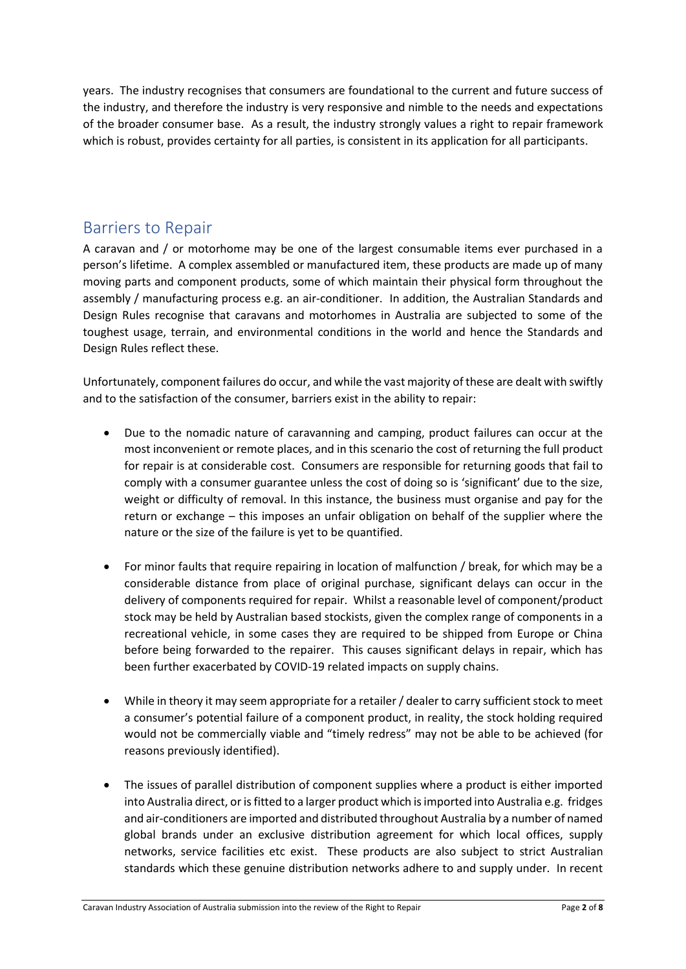years. The industry recognises that consumers are foundational to the current and future success of the industry, and therefore the industry is very responsive and nimble to the needs and expectations of the broader consumer base. As a result, the industry strongly values a right to repair framework which is robust, provides certainty for all parties, is consistent in its application for all participants.

### Barriers to Repair

A caravan and / or motorhome may be one of the largest consumable items ever purchased in a person's lifetime. A complex assembled or manufactured item, these products are made up of many moving parts and component products, some of which maintain their physical form throughout the assembly / manufacturing process e.g. an air-conditioner. In addition, the Australian Standards and Design Rules recognise that caravans and motorhomes in Australia are subjected to some of the toughest usage, terrain, and environmental conditions in the world and hence the Standards and Design Rules reflect these.

Unfortunately, component failures do occur, and while the vast majority of these are dealt with swiftly and to the satisfaction of the consumer, barriers exist in the ability to repair:

- Due to the nomadic nature of caravanning and camping, product failures can occur at the most inconvenient or remote places, and in this scenario the cost of returning the full product for repair is at considerable cost. Consumers are responsible for returning goods that fail to comply with a consumer guarantee unless the cost of doing so is 'significant' due to the size, weight or difficulty of removal. In this instance, the business must organise and pay for the return or exchange – this imposes an unfair obligation on behalf of the supplier where the nature or the size of the failure is yet to be quantified.
- For minor faults that require repairing in location of malfunction / break, for which may be a considerable distance from place of original purchase, significant delays can occur in the delivery of components required for repair. Whilst a reasonable level of component/product stock may be held by Australian based stockists, given the complex range of components in a recreational vehicle, in some cases they are required to be shipped from Europe or China before being forwarded to the repairer. This causes significant delays in repair, which has been further exacerbated by COVID-19 related impacts on supply chains.
- While in theory it may seem appropriate for a retailer / dealer to carry sufficient stock to meet a consumer's potential failure of a component product, in reality, the stock holding required would not be commercially viable and "timely redress" may not be able to be achieved (for reasons previously identified).
- The issues of parallel distribution of component supplies where a product is either imported into Australia direct, or is fitted to a larger product which is imported into Australia e.g. fridges and air-conditioners are imported and distributed throughout Australia by a number of named global brands under an exclusive distribution agreement for which local offices, supply networks, service facilities etc exist. These products are also subject to strict Australian standards which these genuine distribution networks adhere to and supply under. In recent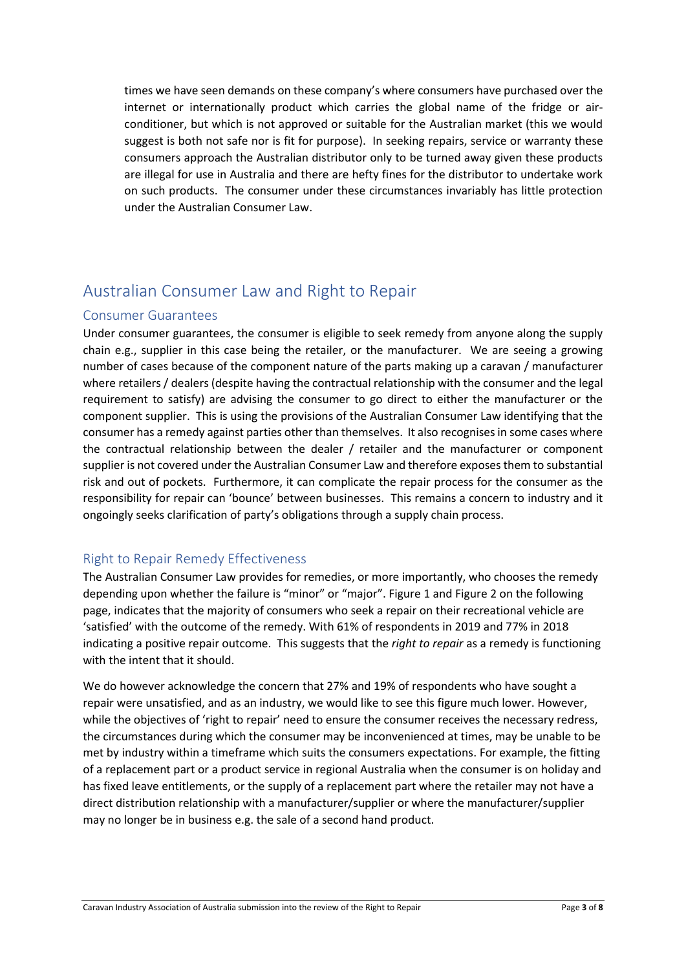times we have seen demands on these company's where consumers have purchased over the internet or internationally product which carries the global name of the fridge or airconditioner, but which is not approved or suitable for the Australian market (this we would suggest is both not safe nor is fit for purpose). In seeking repairs, service or warranty these consumers approach the Australian distributor only to be turned away given these products are illegal for use in Australia and there are hefty fines for the distributor to undertake work on such products. The consumer under these circumstances invariably has little protection under the Australian Consumer Law.

### Australian Consumer Law and Right to Repair

### Consumer Guarantees

Under consumer guarantees, the consumer is eligible to seek remedy from anyone along the supply chain e.g., supplier in this case being the retailer, or the manufacturer. We are seeing a growing number of cases because of the component nature of the parts making up a caravan / manufacturer where retailers / dealers (despite having the contractual relationship with the consumer and the legal requirement to satisfy) are advising the consumer to go direct to either the manufacturer or the component supplier. This is using the provisions of the Australian Consumer Law identifying that the consumer has a remedy against parties other than themselves. It also recognises in some cases where the contractual relationship between the dealer / retailer and the manufacturer or component supplier is not covered under the Australian Consumer Law and therefore exposes them to substantial risk and out of pockets. Furthermore, it can complicate the repair process for the consumer as the responsibility for repair can 'bounce' between businesses. This remains a concern to industry and it ongoingly seeks clarification of party's obligations through a supply chain process.

### Right to Repair Remedy Effectiveness

The Australian Consumer Law provides for remedies, or more importantly, who chooses the remedy depending upon whether the failure is "minor" or "major". [Figure 1](#page-3-0) and [Figure 2](#page-3-1) on the following page, indicates that the majority of consumers who seek a repair on their recreational vehicle are 'satisfied' with the outcome of the remedy. With 61% of respondents in 2019 and 77% in 2018 indicating a positive repair outcome. This suggests that the *right to repair* as a remedy is functioning with the intent that it should.

We do however acknowledge the concern that 27% and 19% of respondents who have sought a repair were unsatisfied, and as an industry, we would like to see this figure much lower. However, while the objectives of 'right to repair' need to ensure the consumer receives the necessary redress, the circumstances during which the consumer may be inconvenienced at times, may be unable to be met by industry within a timeframe which suits the consumers expectations. For example, the fitting of a replacement part or a product service in regional Australia when the consumer is on holiday and has fixed leave entitlements, or the supply of a replacement part where the retailer may not have a direct distribution relationship with a manufacturer/supplier or where the manufacturer/supplier may no longer be in business e.g. the sale of a second hand product.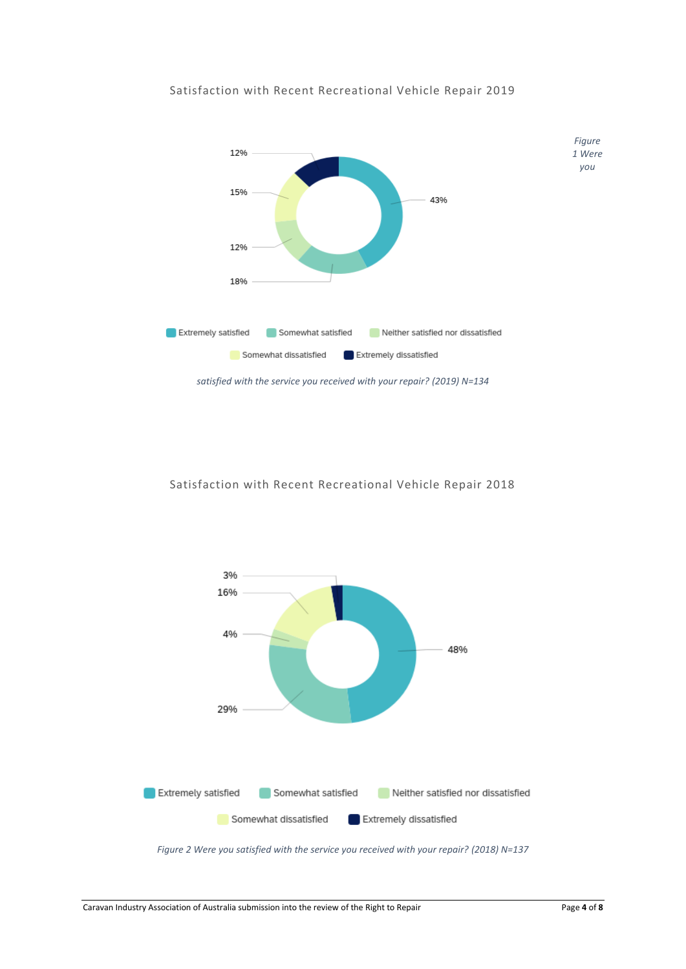

#### <span id="page-3-0"></span>Satisfaction with Recent Recreational Vehicle Repair 2019

Satisfaction with Recent Recreational Vehicle Repair 2018



<span id="page-3-1"></span>*Figure 2 Were you satisfied with the service you received with your repair? (2018) N=137*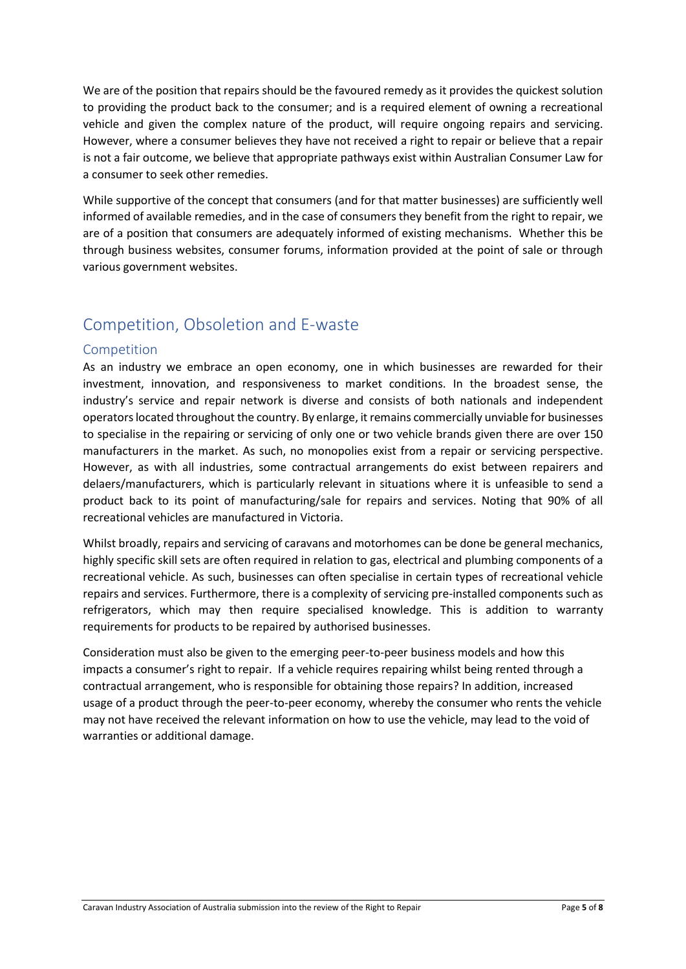We are of the position that repairs should be the favoured remedy as it provides the quickest solution to providing the product back to the consumer; and is a required element of owning a recreational vehicle and given the complex nature of the product, will require ongoing repairs and servicing. However, where a consumer believes they have not received a right to repair or believe that a repair is not a fair outcome, we believe that appropriate pathways exist within Australian Consumer Law for a consumer to seek other remedies.

While supportive of the concept that consumers (and for that matter businesses) are sufficiently well informed of available remedies, and in the case of consumers they benefit from the right to repair, we are of a position that consumers are adequately informed of existing mechanisms. Whether this be through business websites, consumer forums, information provided at the point of sale or through various government websites.

# Competition, Obsoletion and E-waste

#### Competition

As an industry we embrace an open economy, one in which businesses are rewarded for their investment, innovation, and responsiveness to market conditions. In the broadest sense, the industry's service and repair network is diverse and consists of both nationals and independent operators located throughout the country. By enlarge, it remains commercially unviable for businesses to specialise in the repairing or servicing of only one or two vehicle brands given there are over 150 manufacturers in the market. As such, no monopolies exist from a repair or servicing perspective. However, as with all industries, some contractual arrangements do exist between repairers and delaers/manufacturers, which is particularly relevant in situations where it is unfeasible to send a product back to its point of manufacturing/sale for repairs and services. Noting that 90% of all recreational vehicles are manufactured in Victoria.

Whilst broadly, repairs and servicing of caravans and motorhomes can be done be general mechanics, highly specific skill sets are often required in relation to gas, electrical and plumbing components of a recreational vehicle. As such, businesses can often specialise in certain types of recreational vehicle repairs and services. Furthermore, there is a complexity of servicing pre-installed components such as refrigerators, which may then require specialised knowledge. This is addition to warranty requirements for products to be repaired by authorised businesses.

Consideration must also be given to the emerging peer-to-peer business models and how this impacts a consumer's right to repair. If a vehicle requires repairing whilst being rented through a contractual arrangement, who is responsible for obtaining those repairs? In addition, increased usage of a product through the peer-to-peer economy, whereby the consumer who rents the vehicle may not have received the relevant information on how to use the vehicle, may lead to the void of warranties or additional damage.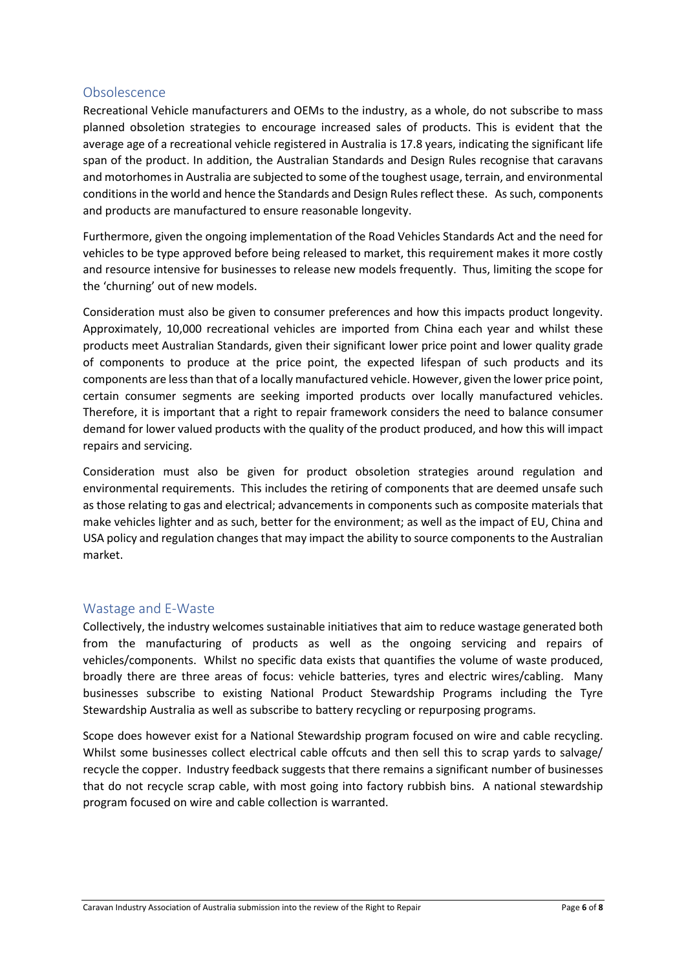#### **Obsolescence**

Recreational Vehicle manufacturers and OEMs to the industry, as a whole, do not subscribe to mass planned obsoletion strategies to encourage increased sales of products. This is evident that the average age of a recreational vehicle registered in Australia is 17.8 years, indicating the significant life span of the product. In addition, the Australian Standards and Design Rules recognise that caravans and motorhomes in Australia are subjected to some of the toughest usage, terrain, and environmental conditions in the world and hence the Standards and Design Rules reflect these. As such, components and products are manufactured to ensure reasonable longevity.

Furthermore, given the ongoing implementation of the Road Vehicles Standards Act and the need for vehicles to be type approved before being released to market, this requirement makes it more costly and resource intensive for businesses to release new models frequently. Thus, limiting the scope for the 'churning' out of new models.

Consideration must also be given to consumer preferences and how this impacts product longevity. Approximately, 10,000 recreational vehicles are imported from China each year and whilst these products meet Australian Standards, given their significant lower price point and lower quality grade of components to produce at the price point, the expected lifespan of such products and its components are less than that of a locally manufactured vehicle. However, given the lower price point, certain consumer segments are seeking imported products over locally manufactured vehicles. Therefore, it is important that a right to repair framework considers the need to balance consumer demand for lower valued products with the quality of the product produced, and how this will impact repairs and servicing.

Consideration must also be given for product obsoletion strategies around regulation and environmental requirements. This includes the retiring of components that are deemed unsafe such as those relating to gas and electrical; advancements in components such as composite materials that make vehicles lighter and as such, better for the environment; as well as the impact of EU, China and USA policy and regulation changes that may impact the ability to source components to the Australian market.

#### Wastage and E-Waste

Collectively, the industry welcomes sustainable initiatives that aim to reduce wastage generated both from the manufacturing of products as well as the ongoing servicing and repairs of vehicles/components. Whilst no specific data exists that quantifies the volume of waste produced, broadly there are three areas of focus: vehicle batteries, tyres and electric wires/cabling. Many businesses subscribe to existing National Product Stewardship Programs including the Tyre Stewardship Australia as well as subscribe to battery recycling or repurposing programs.

Scope does however exist for a National Stewardship program focused on wire and cable recycling. Whilst some businesses collect electrical cable offcuts and then sell this to scrap yards to salvage/ recycle the copper. Industry feedback suggests that there remains a significant number of businesses that do not recycle scrap cable, with most going into factory rubbish bins. A national stewardship program focused on wire and cable collection is warranted.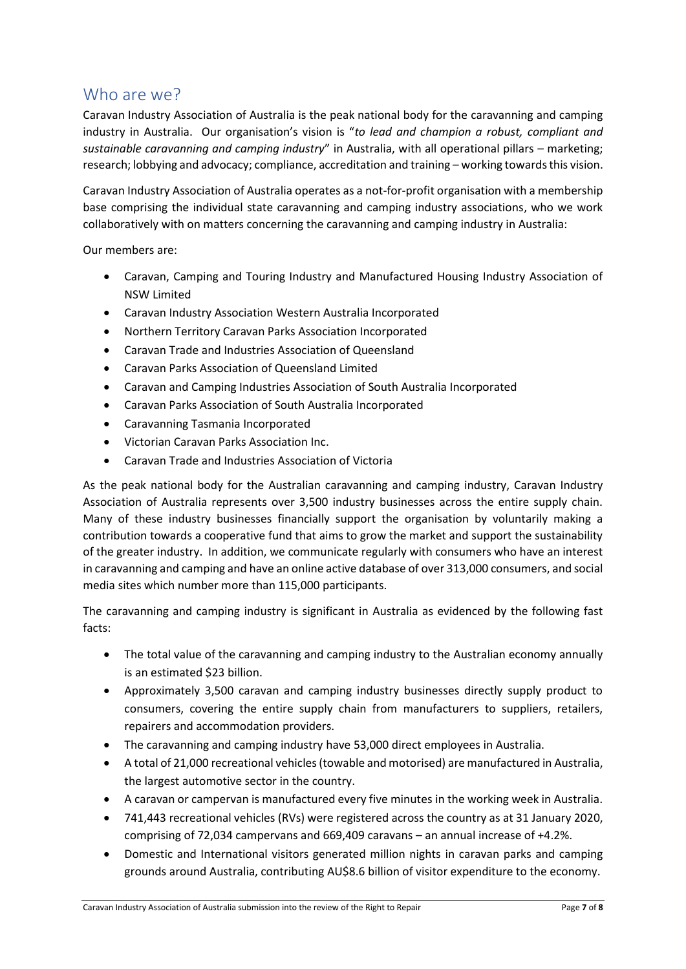### Who are we?

Caravan Industry Association of Australia is the peak national body for the caravanning and camping industry in Australia. Our organisation's vision is "*to lead and champion a robust, compliant and sustainable caravanning and camping industry*" in Australia, with all operational pillars – marketing; research; lobbying and advocacy; compliance, accreditation and training – working towards this vision.

Caravan Industry Association of Australia operates as a not-for-profit organisation with a membership base comprising the individual state caravanning and camping industry associations, who we work collaboratively with on matters concerning the caravanning and camping industry in Australia:

Our members are:

- Caravan, Camping and Touring Industry and Manufactured Housing Industry Association of NSW Limited
- Caravan Industry Association Western Australia Incorporated
- Northern Territory Caravan Parks Association Incorporated
- Caravan Trade and Industries Association of Queensland
- Caravan Parks Association of Queensland Limited
- Caravan and Camping Industries Association of South Australia Incorporated
- Caravan Parks Association of South Australia Incorporated
- Caravanning Tasmania Incorporated
- Victorian Caravan Parks Association Inc.
- Caravan Trade and Industries Association of Victoria

As the peak national body for the Australian caravanning and camping industry, Caravan Industry Association of Australia represents over 3,500 industry businesses across the entire supply chain. Many of these industry businesses financially support the organisation by voluntarily making a contribution towards a cooperative fund that aims to grow the market and support the sustainability of the greater industry. In addition, we communicate regularly with consumers who have an interest in caravanning and camping and have an online active database of over 313,000 consumers, and social media sites which number more than 115,000 participants.

The caravanning and camping industry is significant in Australia as evidenced by the following fast facts:

- The total value of the caravanning and camping industry to the Australian economy annually is an estimated \$23 billion.
- Approximately 3,500 caravan and camping industry businesses directly supply product to consumers, covering the entire supply chain from manufacturers to suppliers, retailers, repairers and accommodation providers.
- The caravanning and camping industry have 53,000 direct employees in Australia.
- A total of 21,000 recreational vehicles (towable and motorised) are manufactured in Australia, the largest automotive sector in the country.
- A caravan or campervan is manufactured every five minutes in the working week in Australia.
- 741,443 recreational vehicles (RVs) were registered across the country as at 31 January 2020, comprising of 72,034 campervans and 669,409 caravans – an annual increase of +4.2%.
- Domestic and International visitors generated million nights in caravan parks and camping grounds around Australia, contributing AU\$8.6 billion of visitor expenditure to the economy.